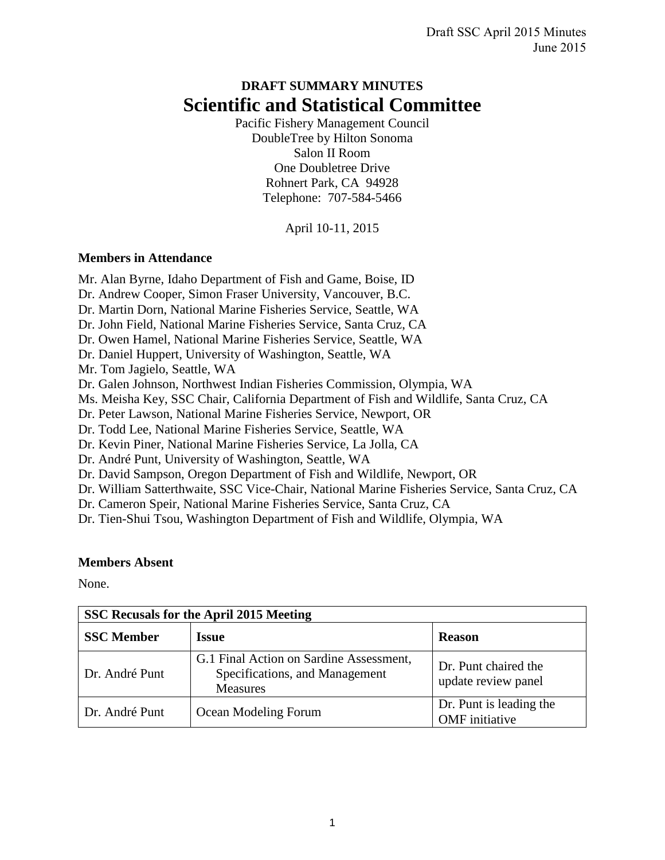# **DRAFT SUMMARY MINUTES Scientific and Statistical Committee**

Pacific Fishery Management Council DoubleTree by Hilton Sonoma Salon II Room One Doubletree Drive Rohnert Park, CA 94928 Telephone: 707-584-5466

April 10-11, 2015

# **Members in Attendance**

Mr. Alan Byrne, Idaho Department of Fish and Game, Boise, ID Dr. Andrew Cooper, Simon Fraser University, Vancouver, B.C. Dr. Martin Dorn, National Marine Fisheries Service, Seattle, WA Dr. John Field, National Marine Fisheries Service, Santa Cruz, CA Dr. Owen Hamel, National Marine Fisheries Service, Seattle, WA Dr. Daniel Huppert, University of Washington, Seattle, WA Mr. Tom Jagielo, Seattle, WA Dr. Galen Johnson, Northwest Indian Fisheries Commission, Olympia, WA Ms. Meisha Key, SSC Chair, California Department of Fish and Wildlife, Santa Cruz, CA Dr. Peter Lawson, National Marine Fisheries Service, Newport, OR Dr. Todd Lee, National Marine Fisheries Service, Seattle, WA Dr. Kevin Piner, National Marine Fisheries Service, La Jolla, CA Dr. André Punt, University of Washington, Seattle, WA Dr. David Sampson, Oregon Department of Fish and Wildlife, Newport, OR Dr. William Satterthwaite, SSC Vice-Chair, National Marine Fisheries Service, Santa Cruz, CA Dr. Cameron Speir, National Marine Fisheries Service, Santa Cruz, CA Dr. Tien-Shui Tsou, Washington Department of Fish and Wildlife, Olympia, WA

# **Members Absent**

None.

| SSC Recusals for the April 2015 Meeting |                                                                                              |                                                  |  |  |  |  |  |
|-----------------------------------------|----------------------------------------------------------------------------------------------|--------------------------------------------------|--|--|--|--|--|
| <b>SSC</b> Member                       | <b>Issue</b>                                                                                 | <b>Reason</b>                                    |  |  |  |  |  |
| Dr. André Punt                          | G.1 Final Action on Sardine Assessment,<br>Specifications, and Management<br><b>Measures</b> | Dr. Punt chaired the<br>update review panel      |  |  |  |  |  |
| Dr. André Punt                          | Ocean Modeling Forum                                                                         | Dr. Punt is leading the<br><b>OMF</b> initiative |  |  |  |  |  |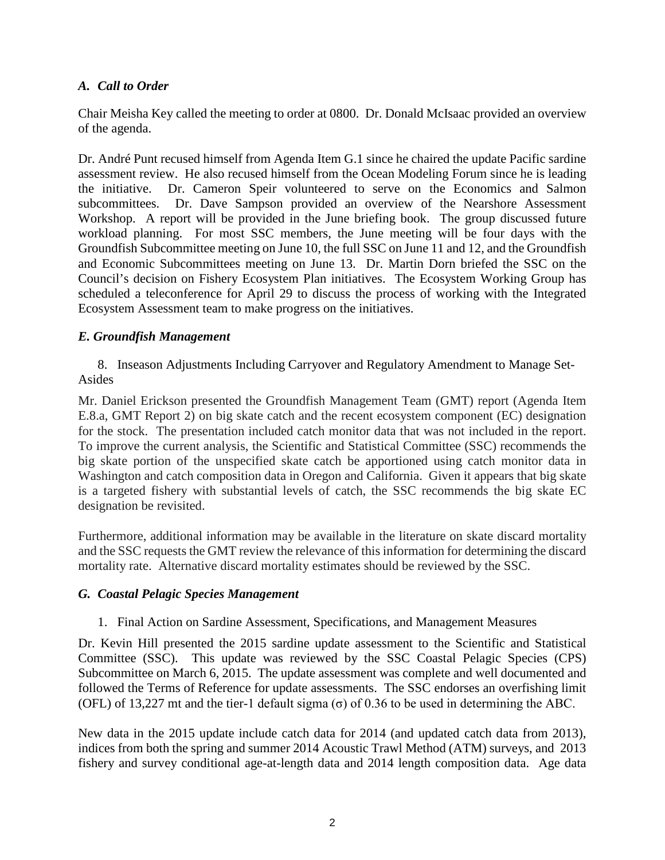# *A. Call to Order*

Chair Meisha Key called the meeting to order at 0800. Dr. Donald McIsaac provided an overview of the agenda.

Dr. André Punt recused himself from Agenda Item G.1 since he chaired the update Pacific sardine assessment review. He also recused himself from the Ocean Modeling Forum since he is leading the initiative. Dr. Cameron Speir volunteered to serve on the Economics and Salmon subcommittees. Dr. Dave Sampson provided an overview of the Nearshore Assessment Workshop. A report will be provided in the June briefing book. The group discussed future workload planning. For most SSC members, the June meeting will be four days with the Groundfish Subcommittee meeting on June 10, the full SSC on June 11 and 12, and the Groundfish and Economic Subcommittees meeting on June 13. Dr. Martin Dorn briefed the SSC on the Council's decision on Fishery Ecosystem Plan initiatives. The Ecosystem Working Group has scheduled a teleconference for April 29 to discuss the process of working with the Integrated Ecosystem Assessment team to make progress on the initiatives.

# *E. Groundfish Management*

8. Inseason Adjustments Including Carryover and Regulatory Amendment to Manage Set-Asides

Mr. Daniel Erickson presented the Groundfish Management Team (GMT) report (Agenda Item E.8.a, GMT Report 2) on big skate catch and the recent ecosystem component (EC) designation for the stock. The presentation included catch monitor data that was not included in the report. To improve the current analysis, the Scientific and Statistical Committee (SSC) recommends the big skate portion of the unspecified skate catch be apportioned using catch monitor data in Washington and catch composition data in Oregon and California. Given it appears that big skate is a targeted fishery with substantial levels of catch, the SSC recommends the big skate EC designation be revisited.

Furthermore, additional information may be available in the literature on skate discard mortality and the SSC requests the GMT review the relevance of this information for determining the discard mortality rate. Alternative discard mortality estimates should be reviewed by the SSC.

# *G. Coastal Pelagic Species Management*

# 1. Final Action on Sardine Assessment, Specifications, and Management Measures

Dr. Kevin Hill presented the 2015 sardine update assessment to the Scientific and Statistical Committee (SSC). This update was reviewed by the SSC Coastal Pelagic Species (CPS) Subcommittee on March 6, 2015. The update assessment was complete and well documented and followed the Terms of Reference for update assessments. The SSC endorses an overfishing limit (OFL) of 13,227 mt and the tier-1 default sigma (σ) of 0.36 to be used in determining the ABC.

New data in the 2015 update include catch data for 2014 (and updated catch data from 2013), indices from both the spring and summer 2014 Acoustic Trawl Method (ATM) surveys, and 2013 fishery and survey conditional age-at-length data and 2014 length composition data. Age data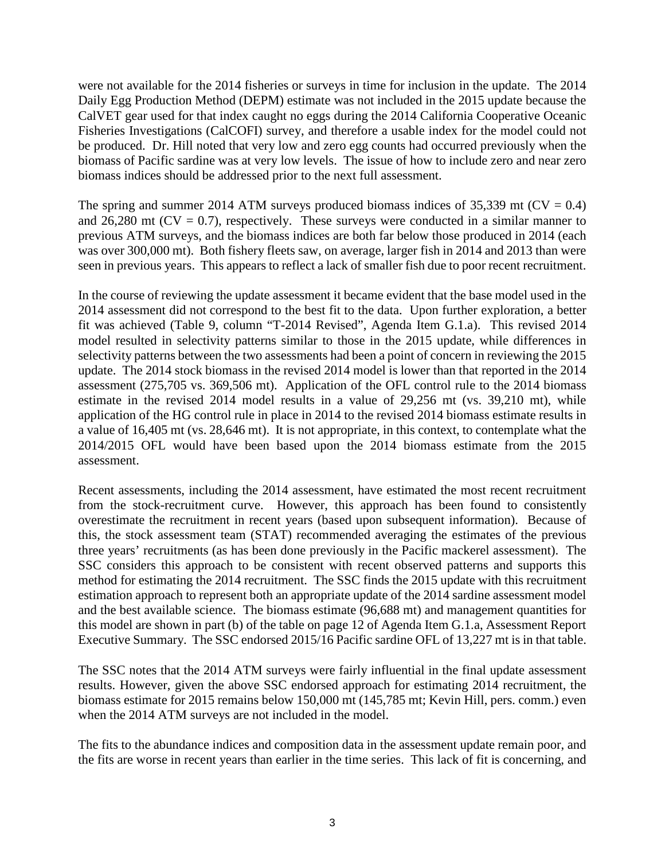were not available for the 2014 fisheries or surveys in time for inclusion in the update. The 2014 Daily Egg Production Method (DEPM) estimate was not included in the 2015 update because the CalVET gear used for that index caught no eggs during the 2014 California Cooperative Oceanic Fisheries Investigations (CalCOFI) survey, and therefore a usable index for the model could not be produced. Dr. Hill noted that very low and zero egg counts had occurred previously when the biomass of Pacific sardine was at very low levels. The issue of how to include zero and near zero biomass indices should be addressed prior to the next full assessment.

The spring and summer 2014 ATM surveys produced biomass indices of 35,339 mt ( $CV = 0.4$ ) and 26,280 mt ( $CV = 0.7$ ), respectively. These surveys were conducted in a similar manner to previous ATM surveys, and the biomass indices are both far below those produced in 2014 (each was over 300,000 mt). Both fishery fleets saw, on average, larger fish in 2014 and 2013 than were seen in previous years. This appears to reflect a lack of smaller fish due to poor recent recruitment.

In the course of reviewing the update assessment it became evident that the base model used in the 2014 assessment did not correspond to the best fit to the data. Upon further exploration, a better fit was achieved (Table 9, column "T-2014 Revised", Agenda Item G.1.a). This revised 2014 model resulted in selectivity patterns similar to those in the 2015 update, while differences in selectivity patterns between the two assessments had been a point of concern in reviewing the 2015 update. The 2014 stock biomass in the revised 2014 model is lower than that reported in the 2014 assessment (275,705 vs. 369,506 mt). Application of the OFL control rule to the 2014 biomass estimate in the revised 2014 model results in a value of 29,256 mt (vs. 39,210 mt), while application of the HG control rule in place in 2014 to the revised 2014 biomass estimate results in a value of 16,405 mt (vs. 28,646 mt). It is not appropriate, in this context, to contemplate what the 2014/2015 OFL would have been based upon the 2014 biomass estimate from the 2015 assessment.

Recent assessments, including the 2014 assessment, have estimated the most recent recruitment from the stock-recruitment curve. However, this approach has been found to consistently overestimate the recruitment in recent years (based upon subsequent information). Because of this, the stock assessment team (STAT) recommended averaging the estimates of the previous three years' recruitments (as has been done previously in the Pacific mackerel assessment). The SSC considers this approach to be consistent with recent observed patterns and supports this method for estimating the 2014 recruitment. The SSC finds the 2015 update with this recruitment estimation approach to represent both an appropriate update of the 2014 sardine assessment model and the best available science. The biomass estimate (96,688 mt) and management quantities for this model are shown in part (b) of the table on page 12 of Agenda Item G.1.a, Assessment Report Executive Summary. The SSC endorsed 2015/16 Pacific sardine OFL of 13,227 mt is in that table.

The SSC notes that the 2014 ATM surveys were fairly influential in the final update assessment results. However, given the above SSC endorsed approach for estimating 2014 recruitment, the biomass estimate for 2015 remains below 150,000 mt (145,785 mt; Kevin Hill, pers. comm.) even when the 2014 ATM surveys are not included in the model.

The fits to the abundance indices and composition data in the assessment update remain poor, and the fits are worse in recent years than earlier in the time series. This lack of fit is concerning, and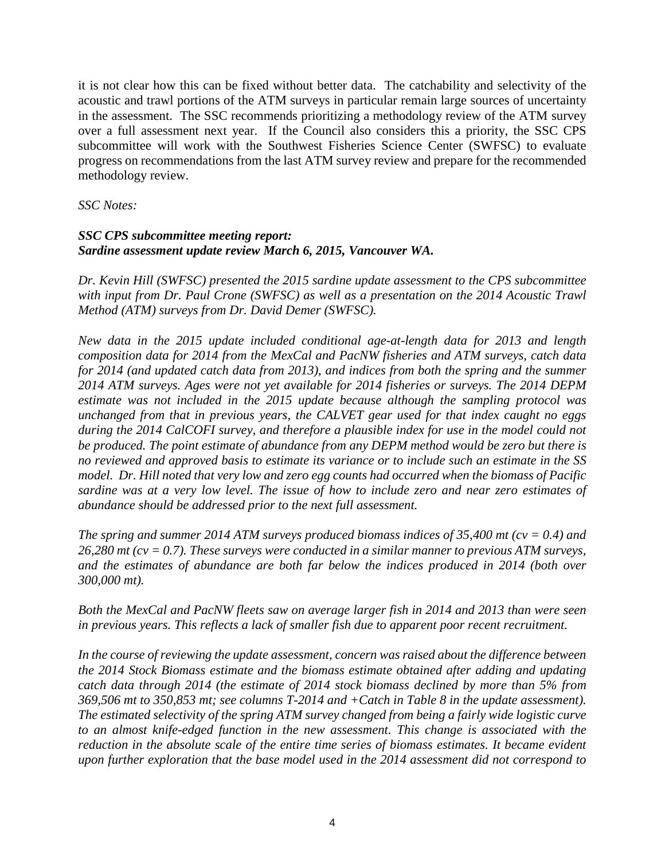it is not clear how this can be fixed without better data. The catchability and selectivity of the acoustic and trawl portions of the ATM surveys in particular remain large sources of uncertainty in the assessment. The SSC recommends prioritizing a methodology review of the ATM survey over a full assessment next year. If the Council also considers this a priority, the SSC CPS subcommittee will work with the Southwest Fisheries Science Center (SWFSC) to evaluate progress on recommendations from the last ATM survey review and prepare for the recommended methodology review.

*SSC Notes:*

#### *SSC CPS subcommittee meeting report: Sardine assessment update review March 6, 2015, Vancouver WA.*

*Dr. Kevin Hill (SWFSC) presented the 2015 sardine update assessment to the CPS subcommittee with input from Dr. Paul Crone (SWFSC) as well as a presentation on the 2014 Acoustic Trawl Method (ATM) surveys from Dr. David Demer (SWFSC).*

*New data in the 2015 update included conditional age-at-length data for 2013 and length composition data for 2014 from the MexCal and PacNW fisheries and ATM surveys, catch data for 2014 (and updated catch data from 2013), and indices from both the spring and the summer 2014 ATM surveys. Ages were not yet available for 2014 fisheries or surveys. The 2014 DEPM estimate was not included in the 2015 update because although the sampling protocol was unchanged from that in previous years, the CALVET gear used for that index caught no eggs during the 2014 CalCOFI survey, and therefore a plausible index for use in the model could not be produced. The point estimate of abundance from any DEPM method would be zero but there is no reviewed and approved basis to estimate its variance or to include such an estimate in the SS model. Dr. Hill noted that very low and zero egg counts had occurred when the biomass of Pacific sardine was at a very low level. The issue of how to include zero and near zero estimates of abundance should be addressed prior to the next full assessment.*

*The spring and summer 2014 ATM surveys produced biomass indices of 35,400 mt (cv = 0.4) and 26,280 mt (cv = 0.7). These surveys were conducted in a similar manner to previous ATM surveys, and the estimates of abundance are both far below the indices produced in 2014 (both over 300,000 mt).*

*Both the MexCal and PacNW fleets saw on average larger fish in 2014 and 2013 than were seen in previous years. This reflects a lack of smaller fish due to apparent poor recent recruitment.*

*In the course of reviewing the update assessment, concern was raised about the difference between the 2014 Stock Biomass estimate and the biomass estimate obtained after adding and updating catch data through 2014 (the estimate of 2014 stock biomass declined by more than 5% from 369,506 mt to 350,853 mt; see columns T-2014 and +Catch in Table 8 in the update assessment). The estimated selectivity of the spring ATM survey changed from being a fairly wide logistic curve to an almost knife-edged function in the new assessment. This change is associated with the reduction in the absolute scale of the entire time series of biomass estimates. It became evident upon further exploration that the base model used in the 2014 assessment did not correspond to*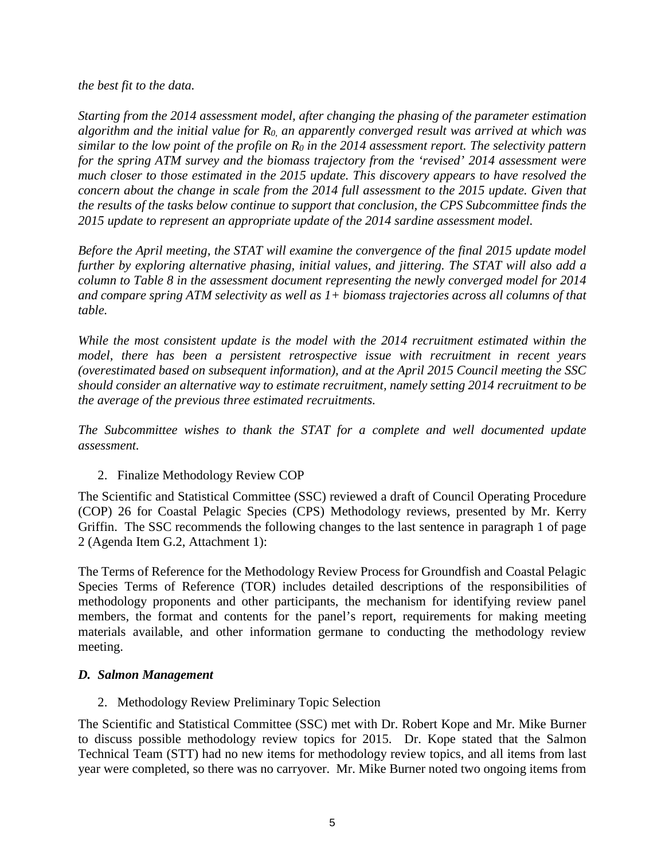#### *the best fit to the data.*

*Starting from the 2014 assessment model, after changing the phasing of the parameter estimation algorithm and the initial value for R0, an apparently converged result was arrived at which was similar to the low point of the profile on R0 in the 2014 assessment report. The selectivity pattern for the spring ATM survey and the biomass trajectory from the 'revised' 2014 assessment were much closer to those estimated in the 2015 update. This discovery appears to have resolved the concern about the change in scale from the 2014 full assessment to the 2015 update. Given that the results of the tasks below continue to support that conclusion, the CPS Subcommittee finds the 2015 update to represent an appropriate update of the 2014 sardine assessment model.* 

*Before the April meeting, the STAT will examine the convergence of the final 2015 update model further by exploring alternative phasing, initial values, and jittering. The STAT will also add a column to Table 8 in the assessment document representing the newly converged model for 2014 and compare spring ATM selectivity as well as 1+ biomass trajectories across all columns of that table.*

*While the most consistent update is the model with the 2014 recruitment estimated within the model, there has been a persistent retrospective issue with recruitment in recent years (overestimated based on subsequent information), and at the April 2015 Council meeting the SSC should consider an alternative way to estimate recruitment, namely setting 2014 recruitment to be the average of the previous three estimated recruitments.* 

*The Subcommittee wishes to thank the STAT for a complete and well documented update assessment.* 

2. Finalize Methodology Review COP

The Scientific and Statistical Committee (SSC) reviewed a draft of Council Operating Procedure (COP) 26 for Coastal Pelagic Species (CPS) Methodology reviews, presented by Mr. Kerry Griffin. The SSC recommends the following changes to the last sentence in paragraph 1 of page 2 (Agenda Item G.2, Attachment 1):

The Terms of Reference for the Methodology Review Process for Groundfish and Coastal Pelagic Species Terms of Reference (TOR) includes detailed descriptions of the responsibilities of methodology proponents and other participants, the mechanism for identifying review panel members, the format and contents for the panel's report, requirements for making meeting materials available, and other information germane to conducting the methodology review meeting.

#### *D. Salmon Management*

2. Methodology Review Preliminary Topic Selection

The Scientific and Statistical Committee (SSC) met with Dr. Robert Kope and Mr. Mike Burner to discuss possible methodology review topics for 2015. Dr. Kope stated that the Salmon Technical Team (STT) had no new items for methodology review topics, and all items from last year were completed, so there was no carryover. Mr. Mike Burner noted two ongoing items from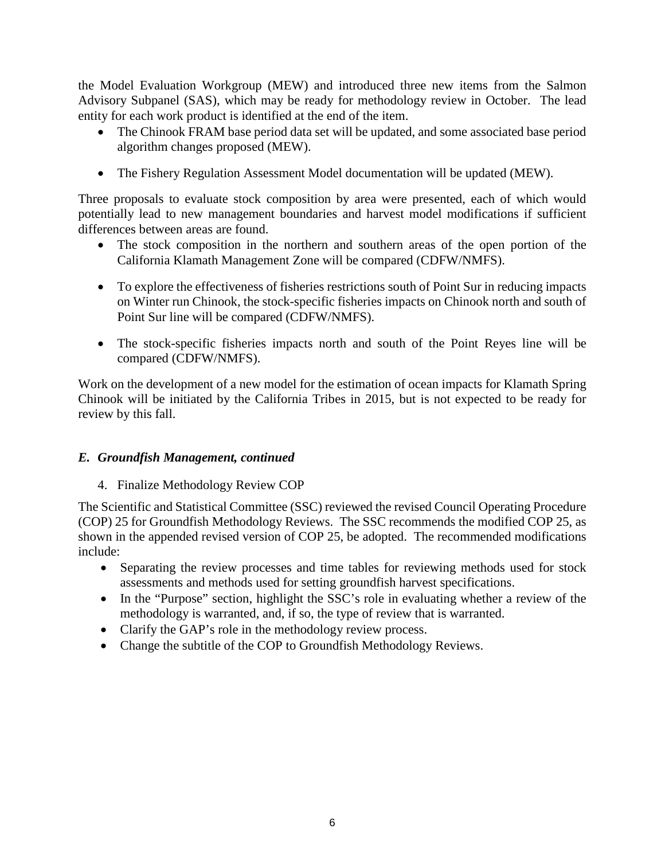the Model Evaluation Workgroup (MEW) and introduced three new items from the Salmon Advisory Subpanel (SAS), which may be ready for methodology review in October. The lead entity for each work product is identified at the end of the item.

- The Chinook FRAM base period data set will be updated, and some associated base period algorithm changes proposed (MEW).
- The Fishery Regulation Assessment Model documentation will be updated (MEW).

Three proposals to evaluate stock composition by area were presented, each of which would potentially lead to new management boundaries and harvest model modifications if sufficient differences between areas are found.

- The stock composition in the northern and southern areas of the open portion of the California Klamath Management Zone will be compared (CDFW/NMFS).
- To explore the effectiveness of fisheries restrictions south of Point Sur in reducing impacts on Winter run Chinook, the stock-specific fisheries impacts on Chinook north and south of Point Sur line will be compared (CDFW/NMFS).
- The stock-specific fisheries impacts north and south of the Point Reyes line will be compared (CDFW/NMFS).

Work on the development of a new model for the estimation of ocean impacts for Klamath Spring Chinook will be initiated by the California Tribes in 2015, but is not expected to be ready for review by this fall.

# *E. Groundfish Management, continued*

4. Finalize Methodology Review COP

The Scientific and Statistical Committee (SSC) reviewed the revised Council Operating Procedure (COP) 25 for Groundfish Methodology Reviews. The SSC recommends the modified COP 25, as shown in the appended revised version of COP 25, be adopted. The recommended modifications include:

- Separating the review processes and time tables for reviewing methods used for stock assessments and methods used for setting groundfish harvest specifications.
- In the "Purpose" section, highlight the SSC's role in evaluating whether a review of the methodology is warranted, and, if so, the type of review that is warranted.
- Clarify the GAP's role in the methodology review process.
- Change the subtitle of the COP to Groundfish Methodology Reviews.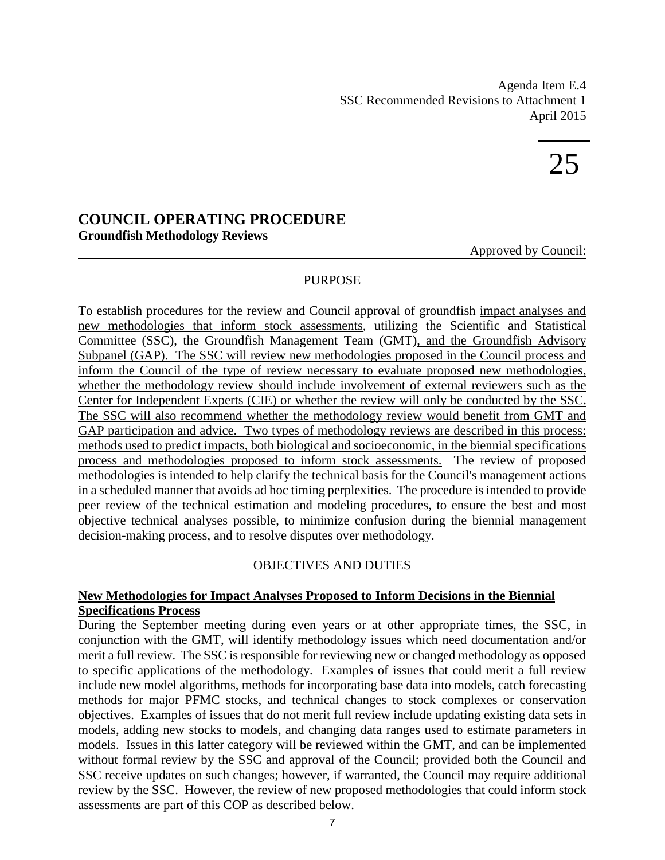Agenda Item E.4 SSC Recommended Revisions to Attachment 1 April 2015



# **COUNCIL OPERATING PROCEDURE Groundfish Methodology Reviews**

Approved by Council:

#### PURPOSE

To establish procedures for the review and Council approval of groundfish impact analyses and new methodologies that inform stock assessments, utilizing the Scientific and Statistical Committee (SSC), the Groundfish Management Team (GMT), and the Groundfish Advisory Subpanel (GAP). The SSC will review new methodologies proposed in the Council process and inform the Council of the type of review necessary to evaluate proposed new methodologies, whether the methodology review should include involvement of external reviewers such as the Center for Independent Experts (CIE) or whether the review will only be conducted by the SSC. The SSC will also recommend whether the methodology review would benefit from GMT and GAP participation and advice. Two types of methodology reviews are described in this process: methods used to predict impacts, both biological and socioeconomic, in the biennial specifications process and methodologies proposed to inform stock assessments. The review of proposed methodologies is intended to help clarify the technical basis for the Council's management actions in a scheduled manner that avoids ad hoc timing perplexities. The procedure is intended to provide peer review of the technical estimation and modeling procedures, to ensure the best and most objective technical analyses possible, to minimize confusion during the biennial management decision-making process, and to resolve disputes over methodology.

# OBJECTIVES AND DUTIES

#### **New Methodologies for Impact Analyses Proposed to Inform Decisions in the Biennial Specifications Process**

During the September meeting during even years or at other appropriate times, the SSC, in conjunction with the GMT, will identify methodology issues which need documentation and/or merit a full review. The SSC is responsible for reviewing new or changed methodology as opposed to specific applications of the methodology. Examples of issues that could merit a full review include new model algorithms, methods for incorporating base data into models, catch forecasting methods for major PFMC stocks, and technical changes to stock complexes or conservation objectives. Examples of issues that do not merit full review include updating existing data sets in models, adding new stocks to models, and changing data ranges used to estimate parameters in models. Issues in this latter category will be reviewed within the GMT, and can be implemented without formal review by the SSC and approval of the Council; provided both the Council and SSC receive updates on such changes; however, if warranted, the Council may require additional review by the SSC. However, the review of new proposed methodologies that could inform stock assessments are part of this COP as described below.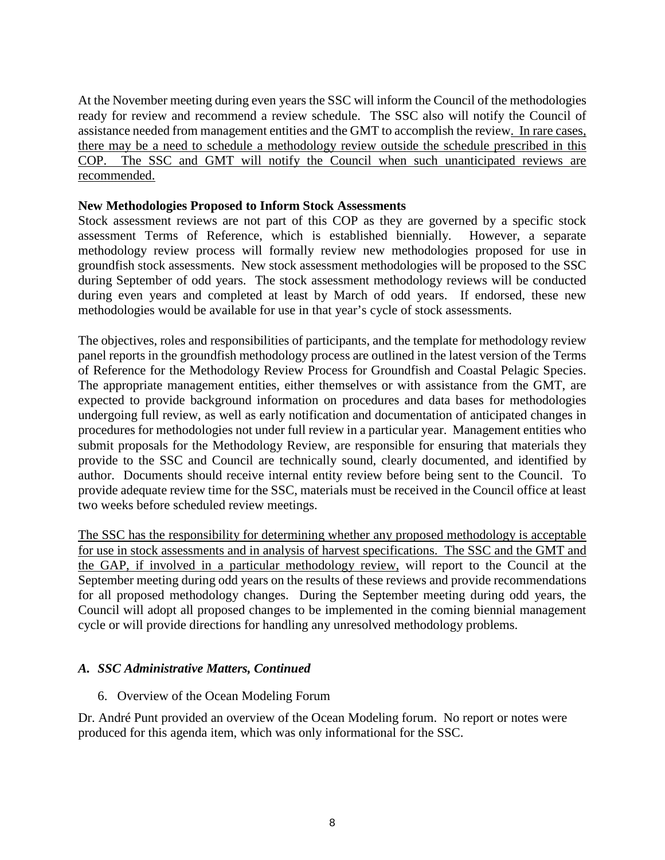At the November meeting during even years the SSC will inform the Council of the methodologies ready for review and recommend a review schedule. The SSC also will notify the Council of assistance needed from management entities and the GMT to accomplish the review. In rare cases, there may be a need to schedule a methodology review outside the schedule prescribed in this COP. The SSC and GMT will notify the Council when such unanticipated reviews are recommended.

#### **New Methodologies Proposed to Inform Stock Assessments**

Stock assessment reviews are not part of this COP as they are governed by a specific stock assessment Terms of Reference, which is established biennially. However, a separate methodology review process will formally review new methodologies proposed for use in groundfish stock assessments. New stock assessment methodologies will be proposed to the SSC during September of odd years. The stock assessment methodology reviews will be conducted during even years and completed at least by March of odd years. If endorsed, these new methodologies would be available for use in that year's cycle of stock assessments.

The objectives, roles and responsibilities of participants, and the template for methodology review panel reports in the groundfish methodology process are outlined in the latest version of the Terms of Reference for the Methodology Review Process for Groundfish and Coastal Pelagic Species. The appropriate management entities, either themselves or with assistance from the GMT, are expected to provide background information on procedures and data bases for methodologies undergoing full review, as well as early notification and documentation of anticipated changes in procedures for methodologies not under full review in a particular year. Management entities who submit proposals for the Methodology Review, are responsible for ensuring that materials they provide to the SSC and Council are technically sound, clearly documented, and identified by author. Documents should receive internal entity review before being sent to the Council. To provide adequate review time for the SSC, materials must be received in the Council office at least two weeks before scheduled review meetings.

The SSC has the responsibility for determining whether any proposed methodology is acceptable for use in stock assessments and in analysis of harvest specifications. The SSC and the GMT and the GAP, if involved in a particular methodology review, will report to the Council at the September meeting during odd years on the results of these reviews and provide recommendations for all proposed methodology changes. During the September meeting during odd years, the Council will adopt all proposed changes to be implemented in the coming biennial management cycle or will provide directions for handling any unresolved methodology problems.

# *A. SSC Administrative Matters, Continued*

#### 6. Overview of the Ocean Modeling Forum

Dr. André Punt provided an overview of the Ocean Modeling forum. No report or notes were produced for this agenda item, which was only informational for the SSC.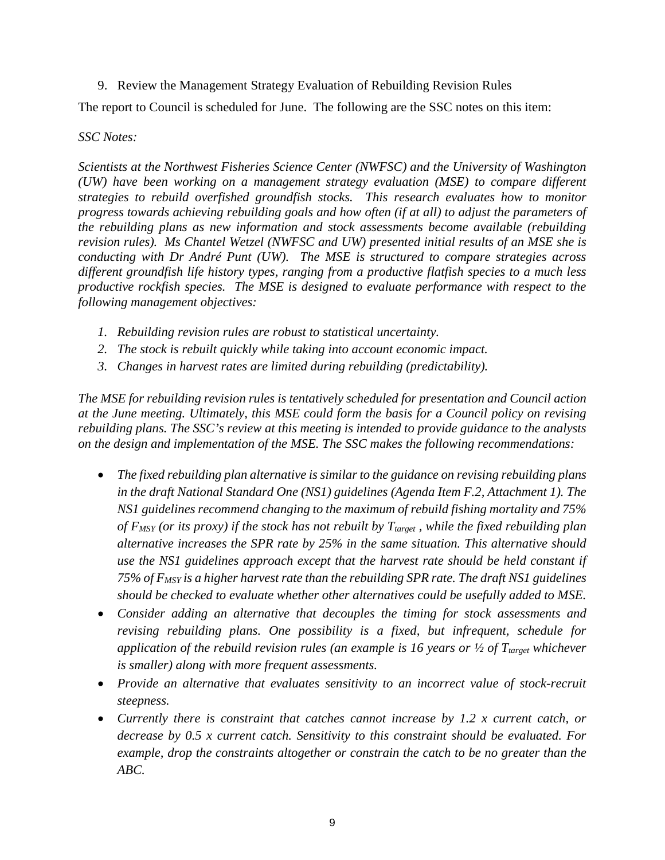9. Review the Management Strategy Evaluation of Rebuilding Revision Rules

The report to Council is scheduled for June. The following are the SSC notes on this item:

#### *SSC Notes:*

*Scientists at the Northwest Fisheries Science Center (NWFSC) and the University of Washington (UW) have been working on a management strategy evaluation (MSE) to compare different strategies to rebuild overfished groundfish stocks. This research evaluates how to monitor progress towards achieving rebuilding goals and how often (if at all) to adjust the parameters of the rebuilding plans as new information and stock assessments become available (rebuilding revision rules). Ms Chantel Wetzel (NWFSC and UW) presented initial results of an MSE she is conducting with Dr André Punt (UW). The MSE is structured to compare strategies across different groundfish life history types, ranging from a productive flatfish species to a much less productive rockfish species. The MSE is designed to evaluate performance with respect to the following management objectives:*

- *1. Rebuilding revision rules are robust to statistical uncertainty.*
- *2. The stock is rebuilt quickly while taking into account economic impact.*
- *3. Changes in harvest rates are limited during rebuilding (predictability).*

*The MSE for rebuilding revision rules is tentatively scheduled for presentation and Council action at the June meeting. Ultimately, this MSE could form the basis for a Council policy on revising rebuilding plans. The SSC's review at this meeting is intended to provide guidance to the analysts on the design and implementation of the MSE. The SSC makes the following recommendations:*

- *The fixed rebuilding plan alternative is similar to the guidance on revising rebuilding plans in the draft National Standard One (NS1) guidelines (Agenda Item F.2, Attachment 1). The NS1 guidelines recommend changing to the maximum of rebuild fishing mortality and 75%*  of F<sub>MSY</sub> (or its proxy) if the stock has not rebuilt by T<sub>target</sub>, while the fixed rebuilding plan *alternative increases the SPR rate by 25% in the same situation. This alternative should use the NS1 guidelines approach except that the harvest rate should be held constant if 75% of FMSY is a higher harvest rate than the rebuilding SPR rate. The draft NS1 guidelines should be checked to evaluate whether other alternatives could be usefully added to MSE.*
- *Consider adding an alternative that decouples the timing for stock assessments and revising rebuilding plans. One possibility is a fixed, but infrequent, schedule for application of the rebuild revision rules (an example is 16 years or*  $\frac{1}{2}$  *of T<sub>target</sub> whichever is smaller) along with more frequent assessments.*
- *Provide an alternative that evaluates sensitivity to an incorrect value of stock-recruit steepness.*
- *Currently there is constraint that catches cannot increase by 1.2 x current catch, or decrease by 0.5 x current catch. Sensitivity to this constraint should be evaluated. For example, drop the constraints altogether or constrain the catch to be no greater than the ABC.*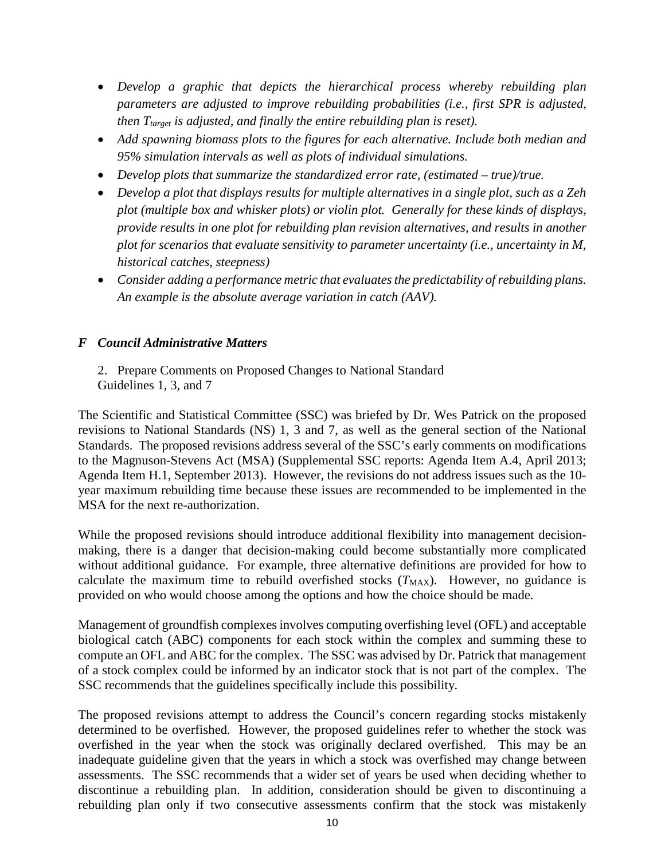- *Develop a graphic that depicts the hierarchical process whereby rebuilding plan parameters are adjusted to improve rebuilding probabilities (i.e., first SPR is adjusted, then T<sub>target</sub> is adjusted, and finally the entire rebuilding plan is reset).*
- *Add spawning biomass plots to the figures for each alternative. Include both median and 95% simulation intervals as well as plots of individual simulations.*
- *Develop plots that summarize the standardized error rate, (estimated – true)/true.*
- *Develop a plot that displays results for multiple alternatives in a single plot, such as a Zeh plot (multiple box and whisker plots) or violin plot. Generally for these kinds of displays, provide results in one plot for rebuilding plan revision alternatives, and results in another plot for scenarios that evaluate sensitivity to parameter uncertainty (i.e., uncertainty in M, historical catches, steepness)*
- *Consider adding a performance metric that evaluates the predictability of rebuilding plans. An example is the absolute average variation in catch (AAV).*

# *F Council Administrative Matters*

2. Prepare Comments on Proposed Changes to National Standard Guidelines 1, 3, and 7

The Scientific and Statistical Committee (SSC) was briefed by Dr. Wes Patrick on the proposed revisions to National Standards (NS) 1, 3 and 7, as well as the general section of the National Standards. The proposed revisions address several of the SSC's early comments on modifications to the Magnuson-Stevens Act (MSA) (Supplemental SSC reports: Agenda Item A.4, April 2013; Agenda Item H.1, September 2013). However, the revisions do not address issues such as the 10 year maximum rebuilding time because these issues are recommended to be implemented in the MSA for the next re-authorization.

While the proposed revisions should introduce additional flexibility into management decisionmaking, there is a danger that decision-making could become substantially more complicated without additional guidance. For example, three alternative definitions are provided for how to calculate the maximum time to rebuild overfished stocks  $(T_{MAX})$ . However, no guidance is provided on who would choose among the options and how the choice should be made.

Management of groundfish complexes involves computing overfishing level (OFL) and acceptable biological catch (ABC) components for each stock within the complex and summing these to compute an OFL and ABC for the complex. The SSC was advised by Dr. Patrick that management of a stock complex could be informed by an indicator stock that is not part of the complex. The SSC recommends that the guidelines specifically include this possibility.

The proposed revisions attempt to address the Council's concern regarding stocks mistakenly determined to be overfished. However, the proposed guidelines refer to whether the stock was overfished in the year when the stock was originally declared overfished. This may be an inadequate guideline given that the years in which a stock was overfished may change between assessments. The SSC recommends that a wider set of years be used when deciding whether to discontinue a rebuilding plan. In addition, consideration should be given to discontinuing a rebuilding plan only if two consecutive assessments confirm that the stock was mistakenly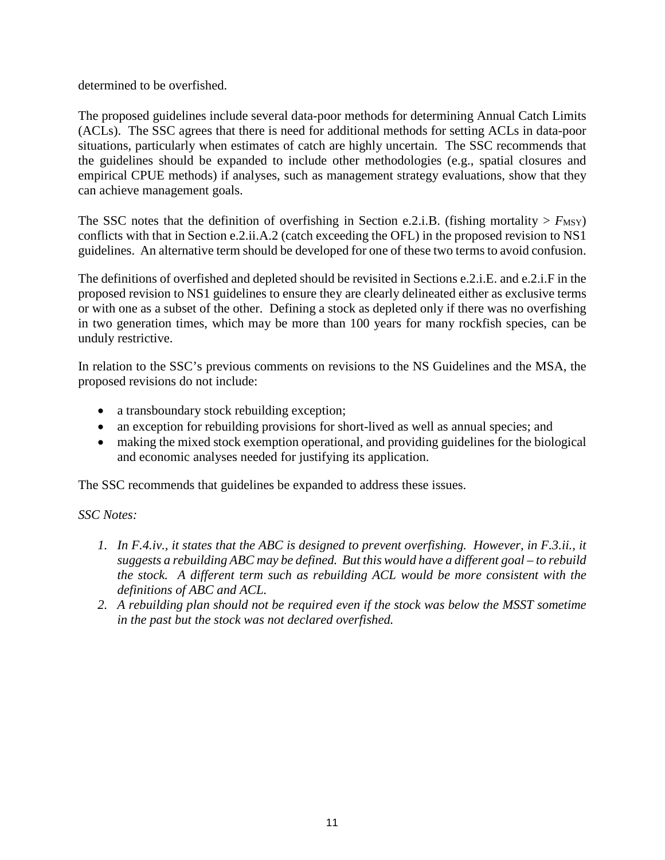determined to be overfished.

The proposed guidelines include several data-poor methods for determining Annual Catch Limits (ACLs). The SSC agrees that there is need for additional methods for setting ACLs in data-poor situations, particularly when estimates of catch are highly uncertain. The SSC recommends that the guidelines should be expanded to include other methodologies (e.g., spatial closures and empirical CPUE methods) if analyses, such as management strategy evaluations, show that they can achieve management goals.

The SSC notes that the definition of overfishing in Section e.2.i.B. (fishing mortality  $> F_{\text{MSY}}$ ) conflicts with that in Section e.2.ii.A.2 (catch exceeding the OFL) in the proposed revision to NS1 guidelines. An alternative term should be developed for one of these two terms to avoid confusion.

The definitions of overfished and depleted should be revisited in Sections e.2.i.E. and e.2.i.F in the proposed revision to NS1 guidelines to ensure they are clearly delineated either as exclusive terms or with one as a subset of the other. Defining a stock as depleted only if there was no overfishing in two generation times, which may be more than 100 years for many rockfish species, can be unduly restrictive.

In relation to the SSC's previous comments on revisions to the NS Guidelines and the MSA, the proposed revisions do not include:

- a transboundary stock rebuilding exception;
- an exception for rebuilding provisions for short-lived as well as annual species; and
- making the mixed stock exemption operational, and providing guidelines for the biological and economic analyses needed for justifying its application.

The SSC recommends that guidelines be expanded to address these issues.

*SSC Notes:*

- *1. In F.4.iv., it states that the ABC is designed to prevent overfishing. However, in F.3.ii., it suggests a rebuilding ABC may be defined. But this would have a different goal – to rebuild the stock. A different term such as rebuilding ACL would be more consistent with the definitions of ABC and ACL.*
- *2. A rebuilding plan should not be required even if the stock was below the MSST sometime in the past but the stock was not declared overfished.*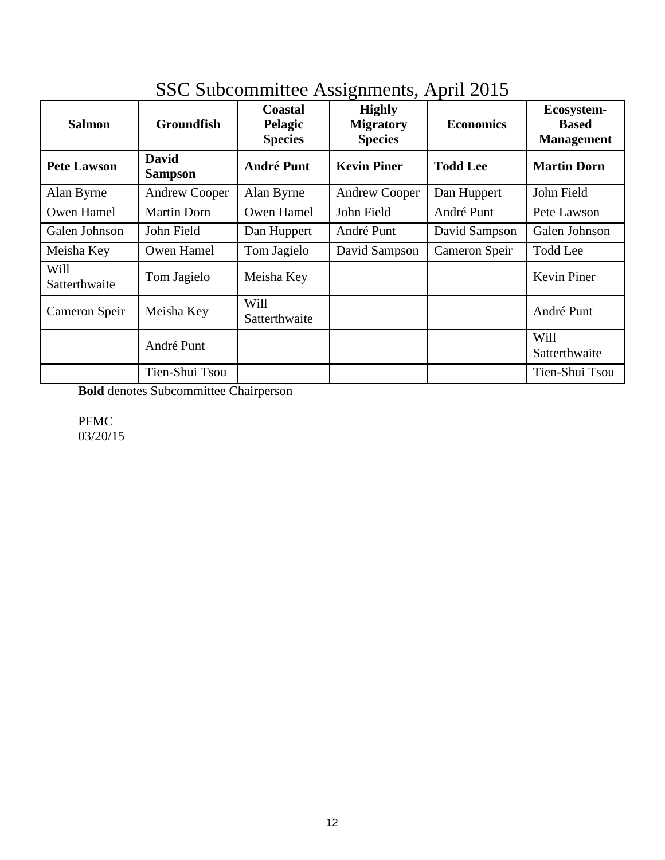| <b>Salmon</b>         | <b>Groundfish</b>              | <b>Coastal</b><br>Pelagic<br><b>Species</b> | ာ<br><b>Highly</b><br><b>Migratory</b><br><b>Species</b> | <b>Economics</b> | Ecosystem-<br><b>Based</b><br><b>Management</b> |
|-----------------------|--------------------------------|---------------------------------------------|----------------------------------------------------------|------------------|-------------------------------------------------|
| <b>Pete Lawson</b>    | <b>David</b><br><b>Sampson</b> | <b>André Punt</b>                           | <b>Kevin Piner</b>                                       | <b>Todd Lee</b>  | <b>Martin Dorn</b>                              |
| Alan Byrne            | <b>Andrew Cooper</b>           | Alan Byrne                                  | <b>Andrew Cooper</b>                                     | Dan Huppert      | John Field                                      |
| Owen Hamel            | <b>Martin Dorn</b>             | Owen Hamel                                  | John Field                                               | André Punt       | Pete Lawson                                     |
| Galen Johnson         | John Field                     | Dan Huppert                                 | André Punt                                               | David Sampson    | Galen Johnson                                   |
| Meisha Key            | Owen Hamel                     | Tom Jagielo                                 | David Sampson                                            | Cameron Speir    | <b>Todd Lee</b>                                 |
| Will<br>Satterthwaite | Tom Jagielo                    | Meisha Key                                  |                                                          |                  | <b>Kevin Piner</b>                              |
| Cameron Speir         | Meisha Key                     | Will<br>Satterthwaite                       |                                                          |                  | André Punt                                      |
|                       | André Punt                     |                                             |                                                          |                  | Will<br>Satterthwaite                           |
|                       | Tien-Shui Tsou                 |                                             |                                                          |                  | Tien-Shui Tsou                                  |

# SSC Subcommittee Assignments, April 2015

**Bold** denotes Subcommittee Chairperson

PFMC 03/20/15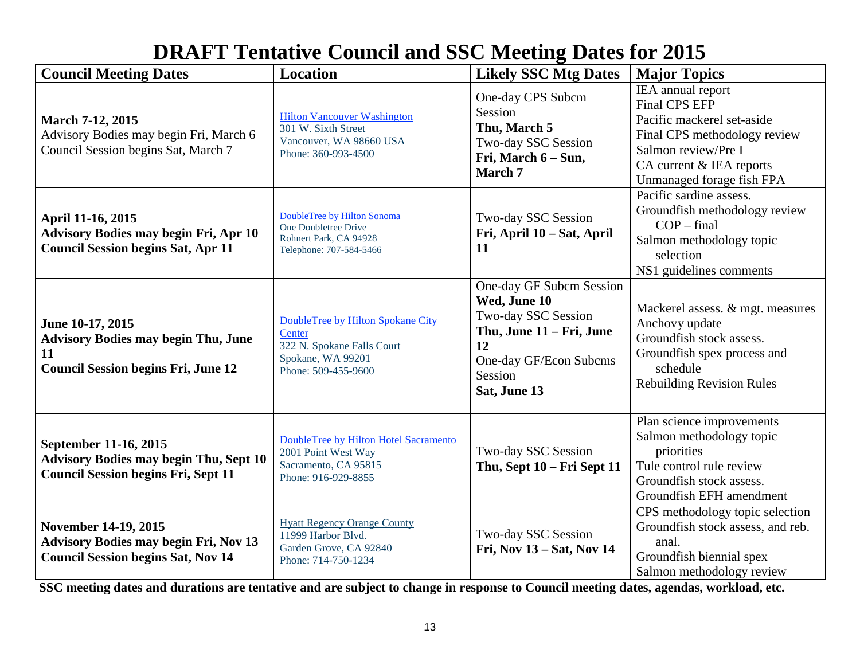# **DRAFT Tentative Council and SSC Meeting Dates for 2015**

| <b>Council Meeting Dates</b>                                                                                             | Location                                                                                                              | <b>Likely SSC Mtg Dates</b>                                                                                                                            | <b>Major Topics</b>                                                                                                                                                                     |
|--------------------------------------------------------------------------------------------------------------------------|-----------------------------------------------------------------------------------------------------------------------|--------------------------------------------------------------------------------------------------------------------------------------------------------|-----------------------------------------------------------------------------------------------------------------------------------------------------------------------------------------|
| <b>March 7-12, 2015</b><br>Advisory Bodies may begin Fri, March 6<br>Council Session begins Sat, March 7                 | <b>Hilton Vancouver Washington</b><br>301 W. Sixth Street<br>Vancouver, WA 98660 USA<br>Phone: 360-993-4500           | One-day CPS Subcm<br>Session<br>Thu, March 5<br>Two-day SSC Session<br>Fri, March 6 – Sun,<br>March 7                                                  | IEA annual report<br><b>Final CPS EFP</b><br>Pacific mackerel set-aside<br>Final CPS methodology review<br>Salmon review/Pre I<br>CA current & IEA reports<br>Unmanaged forage fish FPA |
| April 11-16, 2015<br><b>Advisory Bodies may begin Fri, Apr 10</b><br><b>Council Session begins Sat, Apr 11</b>           | DoubleTree by Hilton Sonoma<br>One Doubletree Drive<br>Rohnert Park, CA 94928<br>Telephone: 707-584-5466              | Two-day SSC Session<br>Fri, April 10 - Sat, April<br>11                                                                                                | Pacific sardine assess.<br>Groundfish methodology review<br>$COP$ – final<br>Salmon methodology topic<br>selection<br>NS1 guidelines comments                                           |
| June 10-17, 2015<br><b>Advisory Bodies may begin Thu, June</b><br>11<br><b>Council Session begins Fri, June 12</b>       | DoubleTree by Hilton Spokane City<br>Center<br>322 N. Spokane Falls Court<br>Spokane, WA 99201<br>Phone: 509-455-9600 | One-day GF Subcm Session<br>Wed, June 10<br>Two-day SSC Session<br>Thu, June 11 - Fri, June<br>12<br>One-day GF/Econ Subcms<br>Session<br>Sat, June 13 | Mackerel assess. & mgt. measures<br>Anchovy update<br>Groundfish stock assess.<br>Groundfish spex process and<br>schedule<br><b>Rebuilding Revision Rules</b>                           |
| September 11-16, 2015<br><b>Advisory Bodies may begin Thu, Sept 10</b><br><b>Council Session begins Fri, Sept 11</b>     | DoubleTree by Hilton Hotel Sacramento<br>2001 Point West Way<br>Sacramento, CA 95815<br>Phone: 916-929-8855           | Two-day SSC Session<br>Thu, Sept 10 - Fri Sept 11                                                                                                      | Plan science improvements<br>Salmon methodology topic<br>priorities<br>Tule control rule review<br>Groundfish stock assess.<br>Groundfish EFH amendment                                 |
| <b>November 14-19, 2015</b><br><b>Advisory Bodies may begin Fri, Nov 13</b><br><b>Council Session begins Sat, Nov 14</b> | <b>Hyatt Regency Orange County</b><br>11999 Harbor Blvd.<br>Garden Grove, CA 92840<br>Phone: 714-750-1234             | Two-day SSC Session<br>Fri, Nov 13 - Sat, Nov 14                                                                                                       | CPS methodology topic selection<br>Groundfish stock assess, and reb.<br>anal.<br>Groundfish biennial spex<br>Salmon methodology review                                                  |

**SSC meeting dates and durations are tentative and are subject to change in response to Council meeting dates, agendas, workload, etc.**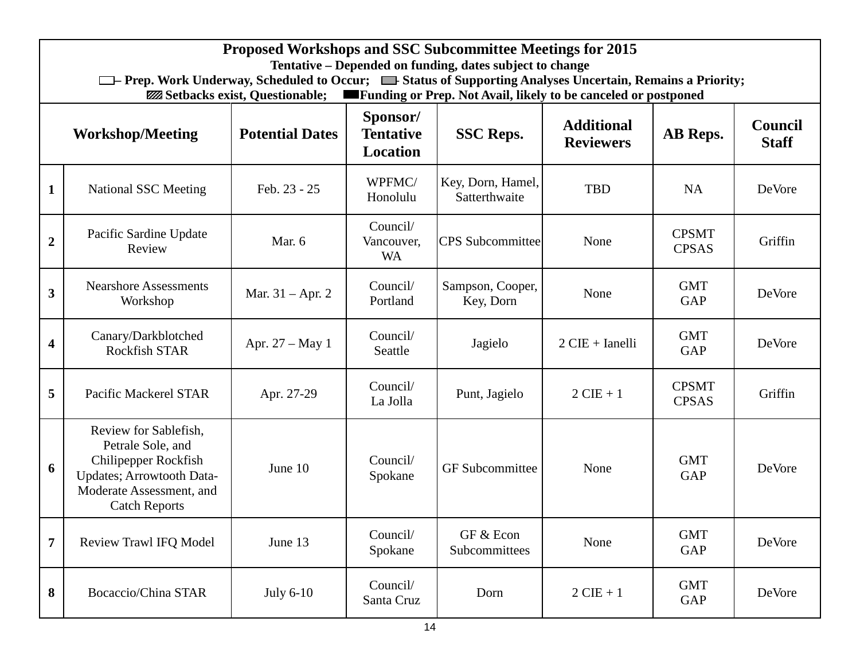|                                                                                                                                                                        | <b>Proposed Workshops and SSC Subcommittee Meetings for 2015</b><br>Tentative - Depended on funding, dates subject to change                                                                                                                                       |                    |                                     |                                    |                                |                              |         |  |
|------------------------------------------------------------------------------------------------------------------------------------------------------------------------|--------------------------------------------------------------------------------------------------------------------------------------------------------------------------------------------------------------------------------------------------------------------|--------------------|-------------------------------------|------------------------------------|--------------------------------|------------------------------|---------|--|
|                                                                                                                                                                        | <sup>1</sup> The Prep. Work Underway, Scheduled to Occur; <sup>1</sup> Status of Supporting Analyses Uncertain, Remains a Priority;<br><b>Example 1</b> Funding or Prep. Not Avail, likely to be canceled or postponed<br><b>ZZZ</b> Setbacks exist, Questionable; |                    |                                     |                                    |                                |                              |         |  |
| Sponsor/<br><b>Additional</b><br><b>Workshop/Meeting</b><br><b>Potential Dates</b><br><b>Tentative</b><br><b>SSC Reps.</b><br>AB Reps.<br><b>Reviewers</b><br>Location |                                                                                                                                                                                                                                                                    |                    |                                     |                                    | <b>Council</b><br><b>Staff</b> |                              |         |  |
| $\mathbf{1}$                                                                                                                                                           | <b>National SSC Meeting</b>                                                                                                                                                                                                                                        | Feb. 23 - 25       | WPFMC/<br>Honolulu                  | Key, Dorn, Hamel,<br>Satterthwaite | <b>TBD</b>                     | <b>NA</b>                    | DeVore  |  |
| $\overline{2}$                                                                                                                                                         | Pacific Sardine Update<br>Review                                                                                                                                                                                                                                   | Mar. 6             | Council/<br>Vancouver,<br><b>WA</b> | <b>CPS</b> Subcommittee            | None                           | <b>CPSMT</b><br><b>CPSAS</b> | Griffin |  |
| $\overline{\mathbf{3}}$                                                                                                                                                | <b>Nearshore Assessments</b><br>Workshop                                                                                                                                                                                                                           | Mar. $31 -$ Apr. 2 | Council/<br>Portland                | Sampson, Cooper,<br>Key, Dorn      | None                           | <b>GMT</b><br><b>GAP</b>     | DeVore  |  |
| $\overline{\mathbf{4}}$                                                                                                                                                | Canary/Darkblotched<br><b>Rockfish STAR</b>                                                                                                                                                                                                                        | Apr. $27 - May 1$  | Council/<br>Seattle                 | Jagielo                            | $2$ CIE + Ianelli              | <b>GMT</b><br><b>GAP</b>     | DeVore  |  |
| 5                                                                                                                                                                      | Pacific Mackerel STAR                                                                                                                                                                                                                                              | Apr. 27-29         | Council/<br>La Jolla                | Punt, Jagielo                      | $2$ CIE + 1                    | <b>CPSMT</b><br><b>CPSAS</b> | Griffin |  |
| 6                                                                                                                                                                      | Review for Sablefish,<br>Petrale Sole, and<br>Chilipepper Rockfish<br>Updates; Arrowtooth Data-<br>Moderate Assessment, and<br><b>Catch Reports</b>                                                                                                                | June 10            | Council/<br>Spokane                 | <b>GF</b> Subcommittee             | None                           | <b>GMT</b><br><b>GAP</b>     | DeVore  |  |
| $\overline{7}$                                                                                                                                                         | <b>Review Trawl IFQ Model</b>                                                                                                                                                                                                                                      | June 13            | Council/<br>Spokane                 | GF & Econ<br>Subcommittees         | None                           | <b>GMT</b><br><b>GAP</b>     | DeVore  |  |
| 8                                                                                                                                                                      | Bocaccio/China STAR                                                                                                                                                                                                                                                | July 6-10          | Council/<br>Santa Cruz              | Dorn                               | $2$ CIE + 1                    | <b>GMT</b><br>GAP            | DeVore  |  |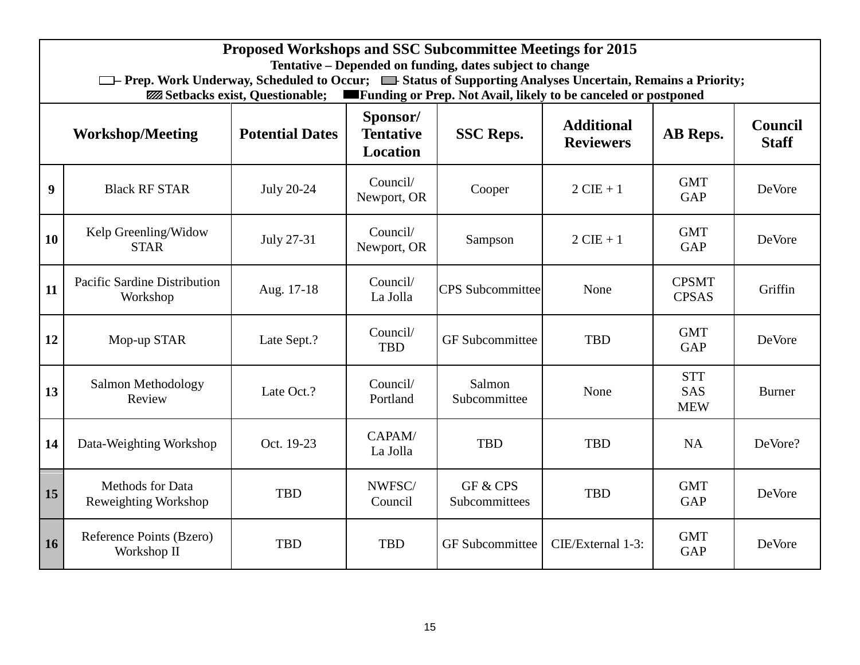|                  | Proposed Workshops and SSC Subcommittee Meetings for 2015<br>Tentative – Depended on funding, dates subject to change<br><sup>1</sup> The Prep. Work Underway, Scheduled to Occur; <sup>1</sup> Status of Supporting Analyses Uncertain, Remains a Priority;<br><b>Example 3 Funding or Prep. Not Avail, likely to be canceled or postponed</b><br><b>ZZZ</b> Setbacks exist, Questionable; |                   |                         |                           |                   |                                        |               |  |
|------------------|---------------------------------------------------------------------------------------------------------------------------------------------------------------------------------------------------------------------------------------------------------------------------------------------------------------------------------------------------------------------------------------------|-------------------|-------------------------|---------------------------|-------------------|----------------------------------------|---------------|--|
|                  | Sponsor/<br><b>Additional</b><br><b>Council</b><br><b>Potential Dates</b><br><b>Tentative</b><br>AB Reps.<br><b>Workshop/Meeting</b><br><b>SSC Reps.</b><br><b>Staff</b><br><b>Reviewers</b><br><b>Location</b>                                                                                                                                                                             |                   |                         |                           |                   |                                        |               |  |
| $\boldsymbol{9}$ | <b>Black RF STAR</b>                                                                                                                                                                                                                                                                                                                                                                        | <b>July 20-24</b> | Council/<br>Newport, OR | Cooper                    | $2$ CIE + 1       | <b>GMT</b><br><b>GAP</b>               | DeVore        |  |
| 10               | Kelp Greenling/Widow<br><b>STAR</b>                                                                                                                                                                                                                                                                                                                                                         | July 27-31        | Council/<br>Newport, OR | Sampson                   | $2$ CIE + 1       | <b>GMT</b><br><b>GAP</b>               | DeVore        |  |
| 11               | Pacific Sardine Distribution<br>Workshop                                                                                                                                                                                                                                                                                                                                                    | Aug. 17-18        | Council/<br>La Jolla    | <b>CPS</b> Subcommittee   | None              | <b>CPSMT</b><br><b>CPSAS</b>           | Griffin       |  |
| 12               | Mop-up STAR                                                                                                                                                                                                                                                                                                                                                                                 | Late Sept.?       | Council/<br><b>TBD</b>  | <b>GF</b> Subcommittee    | <b>TBD</b>        | <b>GMT</b><br><b>GAP</b>               | DeVore        |  |
| 13               | Salmon Methodology<br>Review                                                                                                                                                                                                                                                                                                                                                                | Late Oct.?        | Council/<br>Portland    | Salmon<br>Subcommittee    | None              | <b>STT</b><br><b>SAS</b><br><b>MEW</b> | <b>Burner</b> |  |
| 14               | Data-Weighting Workshop                                                                                                                                                                                                                                                                                                                                                                     | Oct. 19-23        | CAPAM/<br>La Jolla      | <b>TBD</b>                | <b>TBD</b>        | <b>NA</b>                              | DeVore?       |  |
| 15               | Methods for Data<br>Reweighting Workshop                                                                                                                                                                                                                                                                                                                                                    | <b>TBD</b>        | NWFSC/<br>Council       | GF & CPS<br>Subcommittees | <b>TBD</b>        | <b>GMT</b><br><b>GAP</b>               | DeVore        |  |
| 16               | Reference Points (Bzero)<br>Workshop II                                                                                                                                                                                                                                                                                                                                                     | <b>TBD</b>        | <b>TBD</b>              | <b>GF</b> Subcommittee    | CIE/External 1-3: | <b>GMT</b><br><b>GAP</b>               | DeVore        |  |